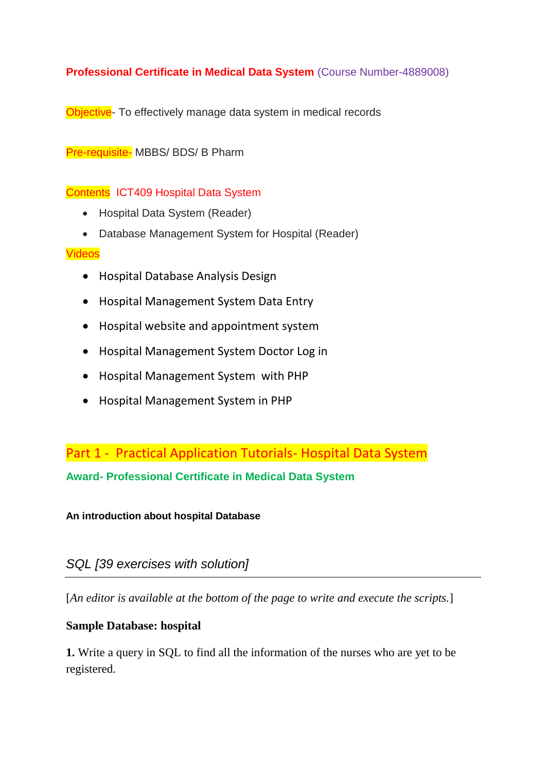### **Professional Certificate in Medical Data System** (Course Number-4889008)

Objective- To effectively manage data system in medical records

Pre-requisite- MBBS/ BDS/ B Pharm

#### Contents ICT409 Hospital Data System

- Hospital Data System (Reader)
- Database Management System for Hospital (Reader)

#### Videos

- Hospital Database Analysis Design
- Hospital Management System Data Entry
- Hospital website and appointment system
- Hospital Management System Doctor Log in
- Hospital Management System with PHP
- Hospital Management System in PHP

Part 1 - Practical Application Tutorials- Hospital Data System

**Award- Professional Certificate in Medical Data System**

**An introduction about hospital Database**

## *SQL [39 exercises with solution]*

[*An editor is available at the bottom of the page to write and execute the scripts.*]

### **Sample Database: hospital**

**1.** Write a query in SQL to find all the information of the nurses who are yet to be registered.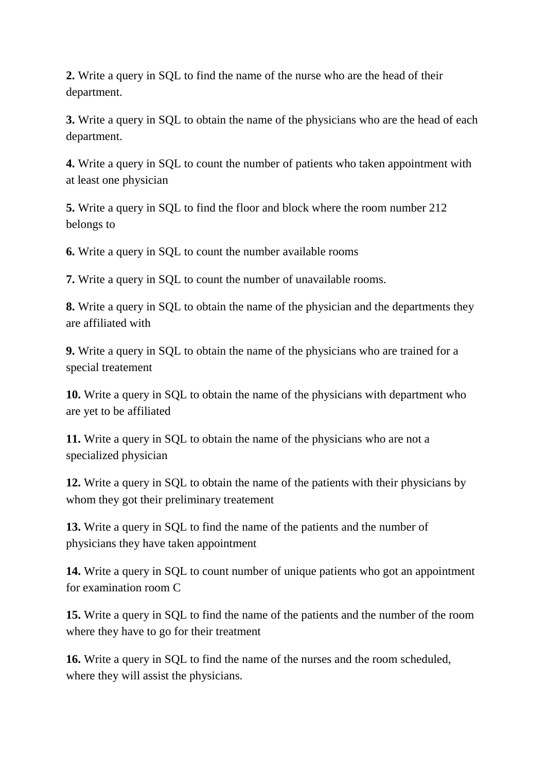**2.** Write a query in SQL to find the name of the nurse who are the head of their department.

**3.** Write a query in SQL to obtain the name of the physicians who are the head of each department.

**4.** Write a query in SQL to count the number of patients who taken appointment with at least one physician

**5.** Write a query in SQL to find the floor and block where the room number 212 belongs to

**6.** Write a query in SQL to count the number available rooms

**7.** Write a query in SQL to count the number of unavailable rooms.

**8.** Write a query in SQL to obtain the name of the physician and the departments they are affiliated with

**9.** Write a query in SQL to obtain the name of the physicians who are trained for a special treatement

**10.** Write a query in SQL to obtain the name of the physicians with department who are yet to be affiliated

**11.** Write a query in SQL to obtain the name of the physicians who are not a specialized physician

**12.** Write a query in SQL to obtain the name of the patients with their physicians by whom they got their preliminary treatement

**13.** Write a query in SQL to find the name of the patients and the number of physicians they have taken appointment

**14.** Write a query in SQL to count number of unique patients who got an appointment for examination room C

**15.** Write a query in SQL to find the name of the patients and the number of the room where they have to go for their treatment

**16.** Write a query in SQL to find the name of the nurses and the room scheduled, where they will assist the physicians.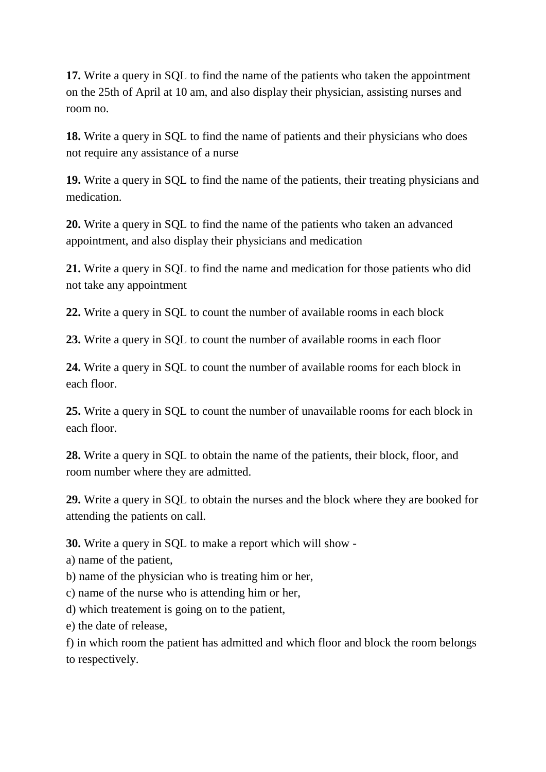**17.** Write a query in SQL to find the name of the patients who taken the appointment on the 25th of April at 10 am, and also display their physician, assisting nurses and room no.

**18.** Write a query in SQL to find the name of patients and their physicians who does not require any assistance of a nurse

**19.** Write a query in SQL to find the name of the patients, their treating physicians and medication.

**20.** Write a query in SQL to find the name of the patients who taken an advanced appointment, and also display their physicians and medication

**21.** Write a query in SQL to find the name and medication for those patients who did not take any appointment

**22.** Write a query in SQL to count the number of available rooms in each block

**23.** Write a query in SQL to count the number of available rooms in each floor

**24.** Write a query in SQL to count the number of available rooms for each block in each floor.

**25.** Write a query in SQL to count the number of unavailable rooms for each block in each floor.

**28.** Write a query in SQL to obtain the name of the patients, their block, floor, and room number where they are admitted.

**29.** Write a query in SQL to obtain the nurses and the block where they are booked for attending the patients on call.

**30.** Write a query in SQL to make a report which will show -

a) name of the patient,

b) name of the physician who is treating him or her,

c) name of the nurse who is attending him or her,

d) which treatement is going on to the patient,

e) the date of release,

f) in which room the patient has admitted and which floor and block the room belongs to respectively.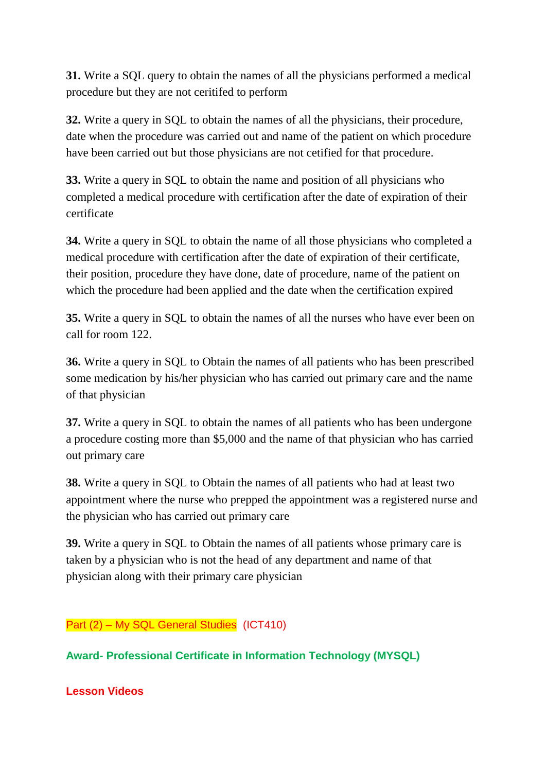**31.** Write a SQL query to obtain the names of all the physicians performed a medical procedure but they are not ceritifed to perform

**32.** Write a query in SQL to obtain the names of all the physicians, their procedure, date when the procedure was carried out and name of the patient on which procedure have been carried out but those physicians are not cetified for that procedure.

**33.** Write a query in SQL to obtain the name and position of all physicians who completed a medical procedure with certification after the date of expiration of their certificate

**34.** Write a query in SQL to obtain the name of all those physicians who completed a medical procedure with certification after the date of expiration of their certificate, their position, procedure they have done, date of procedure, name of the patient on which the procedure had been applied and the date when the certification expired

**35.** Write a query in SQL to obtain the names of all the nurses who have ever been on call for room 122.

**36.** Write a query in SQL to Obtain the names of all patients who has been prescribed some medication by his/her physician who has carried out primary care and the name of that physician

**37.** Write a query in SQL to obtain the names of all patients who has been undergone a procedure costing more than \$5,000 and the name of that physician who has carried out primary care

**38.** Write a query in SQL to Obtain the names of all patients who had at least two appointment where the nurse who prepped the appointment was a registered nurse and the physician who has carried out primary care

**39.** Write a query in SQL to Obtain the names of all patients whose primary care is taken by a physician who is not the head of any department and name of that physician along with their primary care physician

# Part (2) – My SQL General Studies (ICT410)

**Award- Professional Certificate in Information Technology (MYSQL)**

**Lesson Videos**